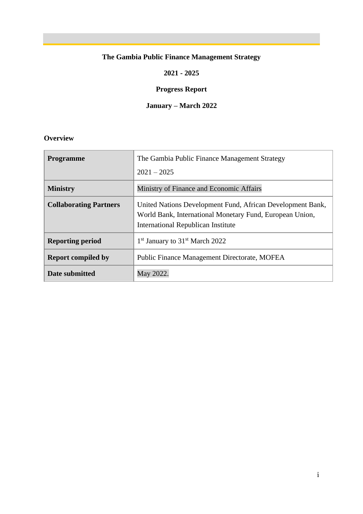#### **The Gambia Public Finance Management Strategy**

#### **2021 - 2025**

#### **Progress Report**

#### **January – March 2022**

#### **Overview**

| <b>Programme</b>              | The Gambia Public Finance Management Strategy                                                                                                                       |
|-------------------------------|---------------------------------------------------------------------------------------------------------------------------------------------------------------------|
|                               | $2021 - 2025$                                                                                                                                                       |
| <b>Ministry</b>               | Ministry of Finance and Economic Affairs                                                                                                                            |
| <b>Collaborating Partners</b> | United Nations Development Fund, African Development Bank,<br>World Bank, International Monetary Fund, European Union,<br><b>International Republican Institute</b> |
| <b>Reporting period</b>       | 1 <sup>st</sup> January to 31 <sup>st</sup> March 2022                                                                                                              |
| <b>Report compiled by</b>     | Public Finance Management Directorate, MOFEA                                                                                                                        |
| Date submitted                | May 2022.                                                                                                                                                           |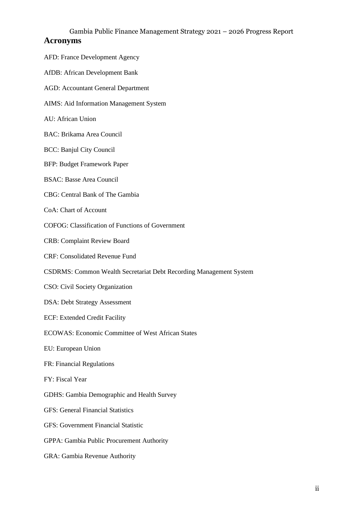#### Gambia Public Finance Management Strategy 2021 – 2026 Progress Report **Acronyms**

| AFD: France Development Agency                                     |  |  |
|--------------------------------------------------------------------|--|--|
| <b>AfDB: African Development Bank</b>                              |  |  |
| <b>AGD: Accountant General Department</b>                          |  |  |
| AIMS: Aid Information Management System                            |  |  |
| AU: African Union                                                  |  |  |
| <b>BAC: Brikama Area Council</b>                                   |  |  |
| <b>BCC: Banjul City Council</b>                                    |  |  |
| <b>BFP: Budget Framework Paper</b>                                 |  |  |
| <b>BSAC: Basse Area Council</b>                                    |  |  |
| CBG: Central Bank of The Gambia                                    |  |  |
| CoA: Chart of Account                                              |  |  |
| <b>COFOG:</b> Classification of Functions of Government            |  |  |
| <b>CRB: Complaint Review Board</b>                                 |  |  |
| <b>CRF: Consolidated Revenue Fund</b>                              |  |  |
| CSDRMS: Common Wealth Secretariat Debt Recording Management System |  |  |
| CSO: Civil Society Organization                                    |  |  |
| <b>DSA: Debt Strategy Assessment</b>                               |  |  |
| ECF: Extended Credit Facility                                      |  |  |
| <b>ECOWAS: Economic Committee of West African States</b>           |  |  |
| EU: European Union                                                 |  |  |
| FR: Financial Regulations                                          |  |  |
| FY: Fiscal Year                                                    |  |  |
| <b>GDHS: Gambia Demographic and Health Survey</b>                  |  |  |
| <b>GFS: General Financial Statistics</b>                           |  |  |
| <b>GFS: Government Financial Statistic</b>                         |  |  |
| GPPA: Gambia Public Procurement Authority                          |  |  |
| GRA: Gambia Revenue Authority                                      |  |  |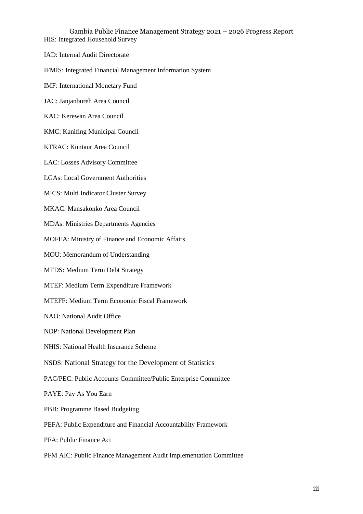Gambia Public Finance Management Strategy 2021 – 2026 Progress Report HIS: Integrated Household Survey

IAD: Internal Audit Directorate

IFMIS: Integrated Financial Management Information System

IMF: International Monetary Fund

JAC: Janjanbureh Area Council

KAC: Kerewan Area Council

KMC: Kanifing Municipal Council

KTRAC: Kuntaur Area Council

LAC: Losses Advisory Committee

LGAs: Local Government Authorities

MICS: Multi Indicator Cluster Survey

MKAC: Mansakonko Area Council

MDAs: Ministries Departments Agencies

MOFEA: Ministry of Finance and Economic Affairs

MOU: Memorandum of Understanding

MTDS: Medium Term Debt Strategy

MTEF: Medium Term Expenditure Framework

MTEFF: Medium Term Economic Fiscal Framework

NAO: National Audit Office

NDP: National Development Plan

NHIS: National Health Insurance Scheme

NSDS: National Strategy for the Development of Statistics

PAC/PEC: Public Accounts Committee/Public Enterprise Committee

PAYE: Pay As You Earn

PBB: Programme Based Budgeting

PEFA: Public Expenditure and Financial Accountability Framework

PFA: Public Finance Act

PFM AIC: Public Finance Management Audit Implementation Committee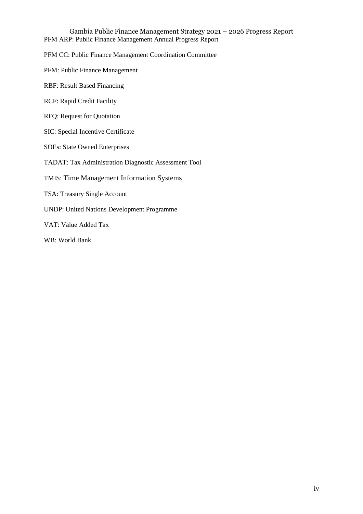Gambia Public Finance Management Strategy 2021 – 2026 Progress Report PFM ARP: Public Finance Management Annual Progress Report

PFM CC: Public Finance Management Coordination Committee

PFM: Public Finance Management

RBF: Result Based Financing

RCF: Rapid Credit Facility

RFQ: Request for Quotation

SIC: Special Incentive Certificate

SOEs: State Owned Enterprises

TADAT: Tax Administration Diagnostic Assessment Tool

TMIS: Time Management Information Systems

TSA: Treasury Single Account

UNDP: United Nations Development Programme

VAT: Value Added Tax

WB: World Bank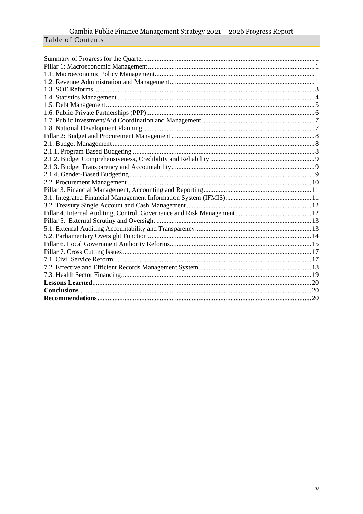# Gambia Public Finance Management Strategy 2021  $-$  2026 Progress Report Table of Contents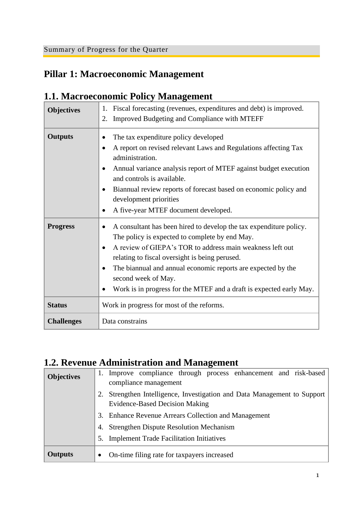## <span id="page-5-1"></span><span id="page-5-0"></span>**Pillar 1: Macroeconomic Management**

#### <span id="page-5-2"></span>**1.1. Macroeconomic Policy Management**

| <b>Objectives</b> | Fiscal forecasting (revenues, expenditures and debt) is improved.<br>1.<br>Improved Budgeting and Compliance with MTEFF<br>2.                                                                                                                                                                                                                                                                                                            |
|-------------------|------------------------------------------------------------------------------------------------------------------------------------------------------------------------------------------------------------------------------------------------------------------------------------------------------------------------------------------------------------------------------------------------------------------------------------------|
| <b>Outputs</b>    | The tax expenditure policy developed<br>A report on revised relevant Laws and Regulations affecting Tax<br>$\bullet$<br>administration.<br>Annual variance analysis report of MTEF against budget execution<br>$\bullet$<br>and controls is available.<br>Biannual review reports of forecast based on economic policy and<br>$\bullet$<br>development priorities<br>A five-year MTEF document developed.                                |
| <b>Progress</b>   | A consultant has been hired to develop the tax expenditure policy.<br>The policy is expected to complete by end May.<br>A review of GIEPA's TOR to address main weakness left out<br>$\bullet$<br>relating to fiscal oversight is being perused.<br>The biannual and annual economic reports are expected by the<br>$\bullet$<br>second week of May.<br>Work is in progress for the MTEF and a draft is expected early May.<br>$\bullet$ |
| <b>Status</b>     | Work in progress for most of the reforms.                                                                                                                                                                                                                                                                                                                                                                                                |
| <b>Challenges</b> | Data constrains                                                                                                                                                                                                                                                                                                                                                                                                                          |

## <span id="page-5-3"></span>**1.2. Revenue Administration and Management**

| <b>Objectives</b> | 1. Improve compliance through process enhancement and risk-based<br>compliance management                      |
|-------------------|----------------------------------------------------------------------------------------------------------------|
|                   | Strengthen Intelligence, Investigation and Data Management to Support<br><b>Evidence-Based Decision Making</b> |
|                   | 3. Enhance Revenue Arrears Collection and Management                                                           |
|                   | <b>Strengthen Dispute Resolution Mechanism</b>                                                                 |
|                   | 5. Implement Trade Facilitation Initiatives                                                                    |
| <b>Outputs</b>    | On-time filing rate for taxpayers increased<br>$\bullet$                                                       |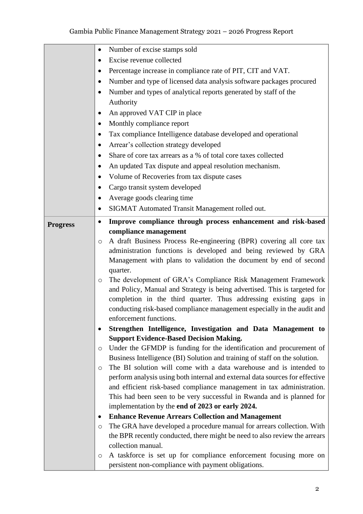|                 | Number of excise stamps sold<br>$\bullet$                                                                                                             |
|-----------------|-------------------------------------------------------------------------------------------------------------------------------------------------------|
|                 | Excise revenue collected                                                                                                                              |
|                 | Percentage increase in compliance rate of PIT, CIT and VAT.<br>٠                                                                                      |
|                 | Number and type of licensed data analysis software packages procured<br>$\bullet$                                                                     |
|                 | Number and types of analytical reports generated by staff of the<br>٠                                                                                 |
|                 | Authority                                                                                                                                             |
|                 | An approved VAT CIP in place<br>٠                                                                                                                     |
|                 | Monthly compliance report<br>٠                                                                                                                        |
|                 | Tax compliance Intelligence database developed and operational<br>$\bullet$                                                                           |
|                 | Arrear's collection strategy developed<br>٠                                                                                                           |
|                 | Share of core tax arrears as a % of total core taxes collected                                                                                        |
|                 | An updated Tax dispute and appeal resolution mechanism.<br>٠                                                                                          |
|                 |                                                                                                                                                       |
|                 | Volume of Recoveries from tax dispute cases<br>$\bullet$                                                                                              |
|                 | Cargo transit system developed<br>$\bullet$                                                                                                           |
|                 | Average goods clearing time<br>٠                                                                                                                      |
|                 | SIGMAT Automated Transit Management rolled out.<br>٠                                                                                                  |
| <b>Progress</b> | Improve compliance through process enhancement and risk-based<br>$\bullet$                                                                            |
|                 | compliance management                                                                                                                                 |
|                 | A draft Business Process Re-engineering (BPR) covering all core tax<br>$\circ$                                                                        |
|                 | administration functions is developed and being reviewed by GRA                                                                                       |
|                 | Management with plans to validation the document by end of second                                                                                     |
|                 | quarter.                                                                                                                                              |
|                 | The development of GRA's Compliance Risk Management Framework<br>$\circ$<br>and Policy, Manual and Strategy is being advertised. This is targeted for |
|                 | completion in the third quarter. Thus addressing existing gaps in                                                                                     |
|                 | conducting risk-based compliance management especially in the audit and                                                                               |
|                 | enforcement functions.                                                                                                                                |
|                 | Strengthen Intelligence, Investigation and Data Management to<br>$\bullet$                                                                            |
|                 | <b>Support Evidence-Based Decision Making.</b>                                                                                                        |
|                 | Under the GFMDP is funding for the identification and procurement of<br>$\circ$                                                                       |
|                 | Business Intelligence (BI) Solution and training of staff on the solution.                                                                            |
|                 | The BI solution will come with a data warehouse and is intended to<br>$\circ$                                                                         |
|                 | perform analysis using both internal and external data sources for effective                                                                          |
|                 | and efficient risk-based compliance management in tax administration.                                                                                 |
|                 | This had been seen to be very successful in Rwanda and is planned for                                                                                 |
|                 | implementation by the end of 2023 or early 2024.                                                                                                      |
|                 | <b>Enhance Revenue Arrears Collection and Management</b><br>$\bullet$                                                                                 |
|                 | The GRA have developed a procedure manual for arrears collection. With<br>$\circ$                                                                     |
|                 | the BPR recently conducted, there might be need to also review the arrears                                                                            |
|                 | collection manual.                                                                                                                                    |
|                 | A taskforce is set up for compliance enforcement focusing more on<br>$\circ$                                                                          |
|                 | persistent non-compliance with payment obligations.                                                                                                   |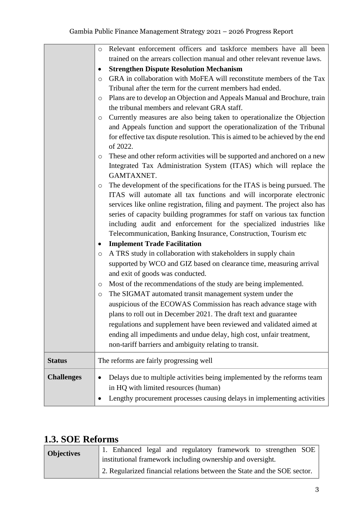|                   | Relevant enforcement officers and taskforce members have all been<br>$\circ$              |
|-------------------|-------------------------------------------------------------------------------------------|
|                   | trained on the arrears collection manual and other relevant revenue laws.                 |
|                   | <b>Strengthen Dispute Resolution Mechanism</b>                                            |
|                   | GRA in collaboration with MoFEA will reconstitute members of the Tax<br>$\circ$           |
|                   | Tribunal after the term for the current members had ended.                                |
|                   | Plans are to develop an Objection and Appeals Manual and Brochure, train<br>$\circ$       |
|                   | the tribunal members and relevant GRA staff.                                              |
|                   | Currently measures are also being taken to operationalize the Objection<br>O              |
|                   | and Appeals function and support the operationalization of the Tribunal                   |
|                   | for effective tax dispute resolution. This is aimed to be achieved by the end<br>of 2022. |
|                   | These and other reform activities will be supported and anchored on a new<br>$\circ$      |
|                   | Integrated Tax Administration System (ITAS) which will replace the                        |
|                   | GAMTAXNET.                                                                                |
|                   | The development of the specifications for the ITAS is being pursued. The<br>O             |
|                   | ITAS will automate all tax functions and will incorporate electronic                      |
|                   | services like online registration, filing and payment. The project also has               |
|                   | series of capacity building programmes for staff on various tax function                  |
|                   | including audit and enforcement for the specialized industries like                       |
|                   | Telecommunication, Banking Insurance, Construction, Tourism etc                           |
|                   | <b>Implement Trade Facilitation</b>                                                       |
|                   | A TRS study in collaboration with stakeholders in supply chain<br>$\circ$                 |
|                   | supported by WCO and GIZ based on clearance time, measuring arrival                       |
|                   | and exit of goods was conducted.                                                          |
|                   | Most of the recommendations of the study are being implemented.<br>O                      |
|                   | The SIGMAT automated transit management system under the<br>$\circ$                       |
|                   | auspicious of the ECOWAS Commission has reach advance stage with                          |
|                   | plans to roll out in December 2021. The draft text and guarantee                          |
|                   | regulations and supplement have been reviewed and validated aimed at                      |
|                   | ending all impediments and undue delay, high cost, unfair treatment,                      |
|                   | non-tariff barriers and ambiguity relating to transit.                                    |
| <b>Status</b>     | The reforms are fairly progressing well                                                   |
| <b>Challenges</b> | Delays due to multiple activities being implemented by the reforms team                   |
|                   | in HQ with limited resources (human)                                                      |
|                   | Lengthy procurement processes causing delays in implementing activities                   |
|                   |                                                                                           |

#### <span id="page-7-0"></span>**1.3. SOE Reforms**

| <b>Objectives</b> | 1. Enhanced legal and regulatory framework to strengthen SOE             |
|-------------------|--------------------------------------------------------------------------|
|                   | institutional framework including ownership and oversight.               |
|                   | 2. Regularized financial relations between the State and the SOE sector. |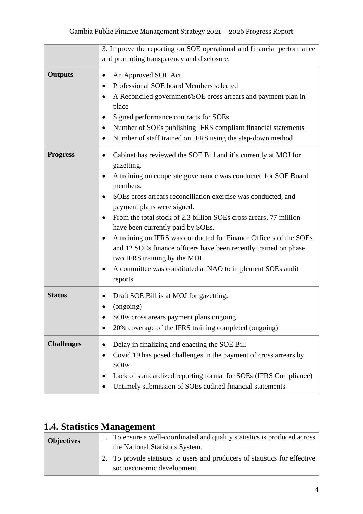|                   | 3. Improve the reporting on SOE operational and financial performance<br>and promoting transparency and disclosure.                                                                                                                                                                                                                                                                                                                                                                                                                                                                                                                                                                   |
|-------------------|---------------------------------------------------------------------------------------------------------------------------------------------------------------------------------------------------------------------------------------------------------------------------------------------------------------------------------------------------------------------------------------------------------------------------------------------------------------------------------------------------------------------------------------------------------------------------------------------------------------------------------------------------------------------------------------|
| <b>Outputs</b>    | An Approved SOE Act<br>$\bullet$<br>Professional SOE board Members selected<br>٠<br>A Reconciled government/SOE cross arrears and payment plan in<br>$\bullet$<br>place<br>Signed performance contracts for SOEs<br>٠<br>Number of SOEs publishing IFRS compliant financial statements<br>$\bullet$<br>Number of staff trained on IFRS using the step-down method<br>$\bullet$                                                                                                                                                                                                                                                                                                        |
| <b>Progress</b>   | Cabinet has reviewed the SOE Bill and it's currently at MOJ for<br>$\bullet$<br>gazetting.<br>A training on cooperate governance was conducted for SOE Board<br>٠<br>members.<br>SOEs cross arrears reconciliation exercise was conducted, and<br>٠<br>payment plans were signed.<br>From the total stock of 2.3 billion SOEs cross arears, 77 million<br>$\bullet$<br>have been currently paid by SOEs.<br>A training on IFRS was conducted for Finance Officers of the SOEs<br>$\bullet$<br>and 12 SOEs finance officers have been recently trained on phase<br>two IFRS training by the MDI.<br>A committee was constituted at NAO to implement SOEs audit<br>$\bullet$<br>reports |
| <b>Status</b>     | Draft SOE Bill is at MOJ for gazetting.<br>$\bullet$<br>(ongoing)<br>SOEs cross arears payment plans ongoing<br>20% coverage of the IFRS training completed (ongoing)<br>$\bullet$                                                                                                                                                                                                                                                                                                                                                                                                                                                                                                    |
| <b>Challenges</b> | Delay in finalizing and enacting the SOE Bill<br>$\bullet$<br>Covid 19 has posed challenges in the payment of cross arrears by<br>٠<br><b>SOEs</b><br>Lack of standardized reporting format for SOEs (IFRS Compliance)<br>Untimely submission of SOEs audited financial statements                                                                                                                                                                                                                                                                                                                                                                                                    |

## <span id="page-8-0"></span>**1.4. Statistics Management**

| <b>Objectives</b> | 1. To ensure a well-coordinated and quality statistics is produced across<br>the National Statistics System. |
|-------------------|--------------------------------------------------------------------------------------------------------------|
|                   | 2. To provide statistics to users and producers of statistics for effective<br>socioeconomic development.    |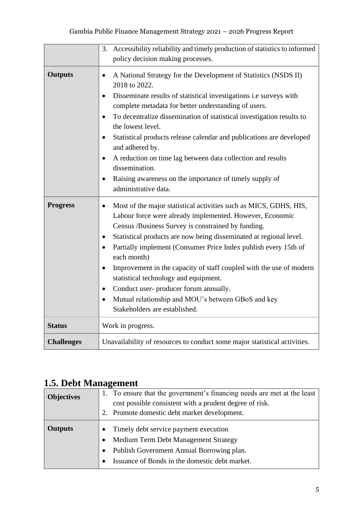|                   | Accessibility reliability and timely production of statistics to informed<br>3.<br>policy decision making processes.                                                                                                                                                                                                                                                                                                                                                                                                                                                                                                                                                      |
|-------------------|---------------------------------------------------------------------------------------------------------------------------------------------------------------------------------------------------------------------------------------------------------------------------------------------------------------------------------------------------------------------------------------------------------------------------------------------------------------------------------------------------------------------------------------------------------------------------------------------------------------------------------------------------------------------------|
| <b>Outputs</b>    | A National Strategy for the Development of Statistics (NSDS II)<br>$\bullet$<br>2018 to 2022.<br>Disseminate results of statistical investigations i.e surveys with<br>$\bullet$<br>complete metadata for better understanding of users.<br>To decentralize dissemination of statistical investigation results to<br>$\bullet$<br>the lowest level.<br>Statistical products release calendar and publications are developed<br>$\bullet$<br>and adhered by.<br>A reduction on time lag between data collection and results<br>$\bullet$<br>dissemination.<br>Raising awareness on the importance of timely supply of<br>$\bullet$<br>administrative data.                 |
| <b>Progress</b>   | Most of the major statistical activities such as MICS, GDHS, HIS,<br>$\bullet$<br>Labour force were already implemented. However, Economic<br>Census /Business Survey is constrained by funding.<br>Statistical products are now being disseminated at regional level.<br>$\bullet$<br>Partially implement (Consumer Price Index publish every 15th of<br>$\bullet$<br>each month)<br>Improvement in the capacity of staff coupled with the use of modern<br>$\bullet$<br>statistical technology and equipment.<br>Conduct user-producer forum annually.<br>$\bullet$<br>Mutual relationship and MOU's between GBoS and key<br>$\bullet$<br>Stakeholders are established. |
| <b>Status</b>     | Work in progress.                                                                                                                                                                                                                                                                                                                                                                                                                                                                                                                                                                                                                                                         |
| <b>Challenges</b> | Unavailability of resources to conduct some major statistical activities.                                                                                                                                                                                                                                                                                                                                                                                                                                                                                                                                                                                                 |

## <span id="page-9-0"></span>**1.5. Debt Management**

| <b>Objectives</b> | 1. To ensure that the government's financing needs are met at the least<br>cost possible consistent with a prudent degree of risk.<br>2. Promote domestic debt market development.                                  |
|-------------------|---------------------------------------------------------------------------------------------------------------------------------------------------------------------------------------------------------------------|
| <b>Outputs</b>    | Timely debt service payment execution<br>Medium Term Debt Management Strategy<br>$\bullet$<br>Publish Government Annual Borrowing plan.<br>$\bullet$<br>Issuance of Bonds in the domestic debt market.<br>$\bullet$ |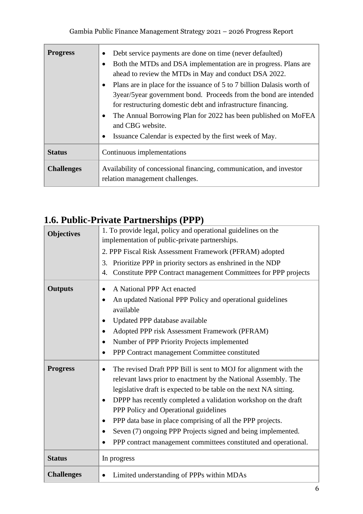| <b>Progress</b>   | Debt service payments are done on time (never defaulted)<br>٠<br>Both the MTDs and DSA implementation are in progress. Plans are<br>$\bullet$<br>ahead to review the MTDs in May and conduct DSA 2022.<br>Plans are in place for the issuance of 5 to 7 billion Dalasis worth of<br>$\bullet$<br>3year/5year government bond. Proceeds from the bond are intended<br>for restructuring domestic debt and infrastructure financing.<br>The Annual Borrowing Plan for 2022 has been published on MoFEA<br>$\bullet$<br>and CBG website.<br>Issuance Calendar is expected by the first week of May.<br>$\bullet$ |
|-------------------|---------------------------------------------------------------------------------------------------------------------------------------------------------------------------------------------------------------------------------------------------------------------------------------------------------------------------------------------------------------------------------------------------------------------------------------------------------------------------------------------------------------------------------------------------------------------------------------------------------------|
| <b>Status</b>     | Continuous implementations                                                                                                                                                                                                                                                                                                                                                                                                                                                                                                                                                                                    |
| <b>Challenges</b> | Availability of concessional financing, communication, and investor<br>relation management challenges.                                                                                                                                                                                                                                                                                                                                                                                                                                                                                                        |

# <span id="page-10-0"></span>**1.6. Public-Private Partnerships (PPP)**

| <b>Objectives</b> | 1. To provide legal, policy and operational guidelines on the<br>implementation of public-private partnerships.                                                                                                                                                                                                                                                                                                                                                                                                                                                                      |
|-------------------|--------------------------------------------------------------------------------------------------------------------------------------------------------------------------------------------------------------------------------------------------------------------------------------------------------------------------------------------------------------------------------------------------------------------------------------------------------------------------------------------------------------------------------------------------------------------------------------|
|                   | 2. PPP Fiscal Risk Assessment Framework (PFRAM) adopted                                                                                                                                                                                                                                                                                                                                                                                                                                                                                                                              |
|                   | Prioritize PPP in priority sectors as enshrined in the NDP<br>3.<br>Constitute PPP Contract management Committees for PPP projects<br>4.                                                                                                                                                                                                                                                                                                                                                                                                                                             |
| <b>Outputs</b>    | A National PPP Act enacted<br>$\bullet$<br>An updated National PPP Policy and operational guidelines<br>$\bullet$<br>available<br>Updated PPP database available<br>$\bullet$<br>Adopted PPP risk Assessment Framework (PFRAM)<br>$\bullet$<br>Number of PPP Priority Projects implemented<br>$\bullet$<br>PPP Contract management Committee constituted<br>$\bullet$                                                                                                                                                                                                                |
| <b>Progress</b>   | The revised Draft PPP Bill is sent to MOJ for alignment with the<br>$\bullet$<br>relevant laws prior to enactment by the National Assembly. The<br>legislative draft is expected to be table on the next NA sitting.<br>DPPP has recently completed a validation workshop on the draft<br>$\bullet$<br>PPP Policy and Operational guidelines<br>PPP data base in place comprising of all the PPP projects.<br>$\bullet$<br>Seven (7) ongoing PPP Projects signed and being implemented.<br>$\bullet$<br>PPP contract management committees constituted and operational.<br>$\bullet$ |
| <b>Status</b>     | In progress                                                                                                                                                                                                                                                                                                                                                                                                                                                                                                                                                                          |
| <b>Challenges</b> | Limited understanding of PPPs within MDAs<br>$\bullet$                                                                                                                                                                                                                                                                                                                                                                                                                                                                                                                               |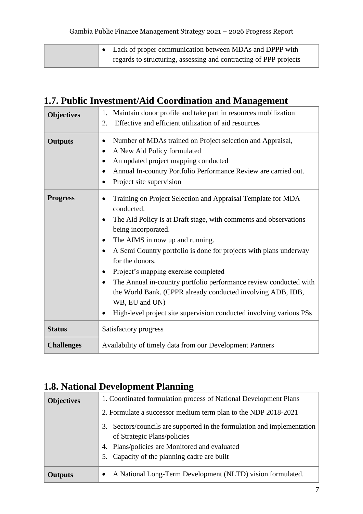| • Lack of proper communication between MDAs and DPPP with         |
|-------------------------------------------------------------------|
| regards to structuring, assessing and contracting of PPP projects |

#### <span id="page-11-0"></span>**1.7. Public Investment/Aid Coordination and Management**

| <b>Objectives</b> | Maintain donor profile and take part in resources mobilization<br>1.<br>Effective and efficient utilization of aid resources<br>2.                                                                                                                                                                                                                                                                                                                                                                                                                                                                                                          |
|-------------------|---------------------------------------------------------------------------------------------------------------------------------------------------------------------------------------------------------------------------------------------------------------------------------------------------------------------------------------------------------------------------------------------------------------------------------------------------------------------------------------------------------------------------------------------------------------------------------------------------------------------------------------------|
| <b>Outputs</b>    | Number of MDAs trained on Project selection and Appraisal,<br>$\bullet$<br>A New Aid Policy formulated<br>$\bullet$<br>An updated project mapping conducted<br>٠<br>Annual In-country Portfolio Performance Review are carried out.<br>$\bullet$<br>Project site supervision<br>$\bullet$                                                                                                                                                                                                                                                                                                                                                   |
| <b>Progress</b>   | Training on Project Selection and Appraisal Template for MDA<br>$\bullet$<br>conducted.<br>The Aid Policy is at Draft stage, with comments and observations<br>$\bullet$<br>being incorporated.<br>The AIMS in now up and running.<br>٠<br>A Semi Country portfolio is done for projects with plans underway<br>$\bullet$<br>for the donors.<br>Project's mapping exercise completed<br>$\bullet$<br>The Annual in-country portfolio performance review conducted with<br>$\bullet$<br>the World Bank. (CPPR already conducted involving ADB, IDB,<br>WB, EU and UN)<br>High-level project site supervision conducted involving various PSs |
| <b>Status</b>     | Satisfactory progress                                                                                                                                                                                                                                                                                                                                                                                                                                                                                                                                                                                                                       |
| <b>Challenges</b> | Availability of timely data from our Development Partners                                                                                                                                                                                                                                                                                                                                                                                                                                                                                                                                                                                   |

#### <span id="page-11-1"></span>**1.8. National Development Planning**

| <b>Objectives</b> | 1. Coordinated formulation process of National Development Plans           |
|-------------------|----------------------------------------------------------------------------|
|                   | 2. Formulate a successor medium term plan to the NDP 2018-2021             |
|                   | Sectors/councils are supported in the formulation and implementation<br>3. |
|                   | of Strategic Plans/policies                                                |
|                   | Plans/policies are Monitored and evaluated<br>4.                           |
|                   | Capacity of the planning cadre are built<br>5.                             |
| <b>Outputs</b>    | A National Long-Term Development (NLTD) vision formulated.<br>$\bullet$    |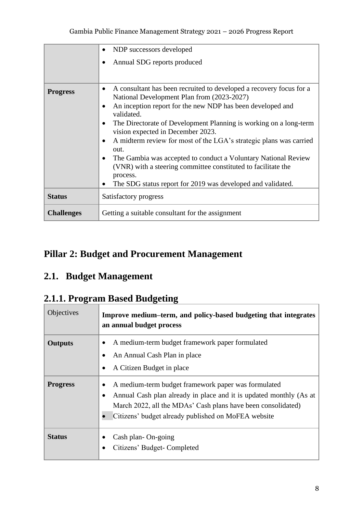|                   | NDP successors developed<br>$\bullet$                                                                                                                                                                                                                                                                                                                                                                                                                                                                                                                                                                                         |
|-------------------|-------------------------------------------------------------------------------------------------------------------------------------------------------------------------------------------------------------------------------------------------------------------------------------------------------------------------------------------------------------------------------------------------------------------------------------------------------------------------------------------------------------------------------------------------------------------------------------------------------------------------------|
|                   | Annual SDG reports produced                                                                                                                                                                                                                                                                                                                                                                                                                                                                                                                                                                                                   |
| <b>Progress</b>   | A consultant has been recruited to developed a recovery focus for a<br>$\bullet$<br>National Development Plan from (2023-2027)<br>An inception report for the new NDP has been developed and<br>validated.<br>The Directorate of Development Planning is working on a long-term<br>vision expected in December 2023.<br>A midterm review for most of the LGA's strategic plans was carried<br>out.<br>The Gambia was accepted to conduct a Voluntary National Review<br>$\bullet$<br>(VNR) with a steering committee constituted to facilitate the<br>process.<br>The SDG status report for 2019 was developed and validated. |
| <b>Status</b>     | Satisfactory progress                                                                                                                                                                                                                                                                                                                                                                                                                                                                                                                                                                                                         |
| <b>Challenges</b> | Getting a suitable consultant for the assignment                                                                                                                                                                                                                                                                                                                                                                                                                                                                                                                                                                              |

# <span id="page-12-0"></span>**Pillar 2: Budget and Procurement Management**

#### <span id="page-12-1"></span>**2.1. Budget Management**

#### <span id="page-12-2"></span>**2.1.1. Program Based Budgeting**

| Objectives      | Improve medium-term, and policy-based budgeting that integrates<br>an annual budget process                                                                                                                                                                                |
|-----------------|----------------------------------------------------------------------------------------------------------------------------------------------------------------------------------------------------------------------------------------------------------------------------|
| <b>Outputs</b>  | A medium-term budget framework paper formulated<br>An Annual Cash Plan in place<br>A Citizen Budget in place<br>$\bullet$                                                                                                                                                  |
| <b>Progress</b> | A medium-term budget framework paper was formulated<br>$\bullet$<br>Annual Cash plan already in place and it is updated monthly (As at<br>$\bullet$<br>March 2022, all the MDAs' Cash plans have been consolidated)<br>Citizens' budget already published on MoFEA website |
| <b>Status</b>   | Cash plan-On-going<br>Citizens' Budget-Completed                                                                                                                                                                                                                           |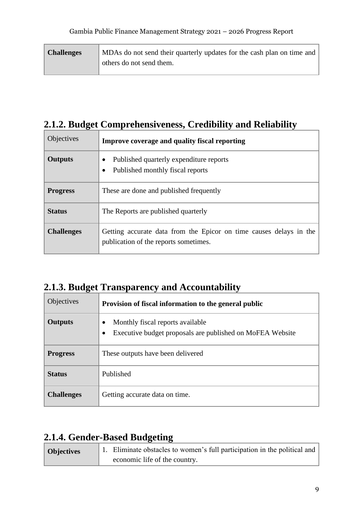| <b>Challenges</b> | MDAs do not send their quarterly updates for the cash plan on time and |
|-------------------|------------------------------------------------------------------------|
|                   | others do not send them.                                               |

# <span id="page-13-0"></span>**2.1.2. Budget Comprehensiveness, Credibility and Reliability**

| <b>Objectives</b> | Improve coverage and quality fiscal reporting                                                               |
|-------------------|-------------------------------------------------------------------------------------------------------------|
| <b>Outputs</b>    | Published quarterly expenditure reports<br>Published monthly fiscal reports                                 |
| <b>Progress</b>   | These are done and published frequently                                                                     |
| <b>Status</b>     | The Reports are published quarterly                                                                         |
| <b>Challenges</b> | Getting accurate data from the Epicor on time causes delays in the<br>publication of the reports sometimes. |

#### <span id="page-13-1"></span>**2.1.3. Budget Transparency and Accountability**

| <b>Objectives</b> | Provision of fiscal information to the general public                                                           |
|-------------------|-----------------------------------------------------------------------------------------------------------------|
| <b>Outputs</b>    | Monthly fiscal reports available<br>٠<br>Executive budget proposals are published on MoFEA Website<br>$\bullet$ |
| <b>Progress</b>   | These outputs have been delivered                                                                               |
| <b>Status</b>     | Published                                                                                                       |
| <b>Challenges</b> | Getting accurate data on time.                                                                                  |

#### <span id="page-13-2"></span>**2.1.4. Gender-Based Budgeting**

| <b>Objectives</b> | 1. Eliminate obstacles to women's full participation in the political and |
|-------------------|---------------------------------------------------------------------------|
|                   | economic life of the country.                                             |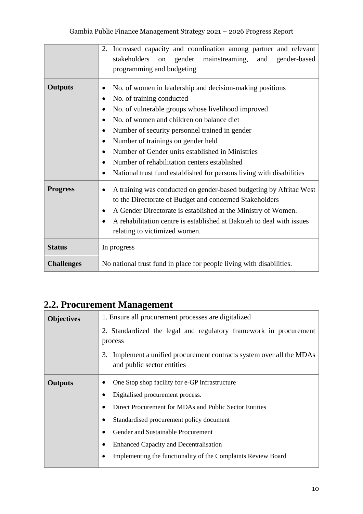|                   | Increased capacity and coordination among partner and relevant<br>2.<br>stakeholders<br>gender<br>mainstreaming,<br>and<br>gender-based<br>on<br>programming and budgeting                                                                                                                                                                                                                                                                                                                                                                                           |
|-------------------|----------------------------------------------------------------------------------------------------------------------------------------------------------------------------------------------------------------------------------------------------------------------------------------------------------------------------------------------------------------------------------------------------------------------------------------------------------------------------------------------------------------------------------------------------------------------|
| <b>Outputs</b>    | No. of women in leadership and decision-making positions<br>No. of training conducted<br>$\bullet$<br>No. of vulnerable groups whose livelihood improved<br>$\bullet$<br>No. of women and children on balance diet<br>$\bullet$<br>Number of security personnel trained in gender<br>$\bullet$<br>Number of trainings on gender held<br>$\bullet$<br>Number of Gender units established in Ministries<br>$\bullet$<br>Number of rehabilitation centers established<br>$\bullet$<br>National trust fund established for persons living with disabilities<br>$\bullet$ |
| <b>Progress</b>   | A training was conducted on gender-based budgeting by Afritac West<br>to the Directorate of Budget and concerned Stakeholders<br>A Gender Directorate is established at the Ministry of Women.<br>A rehabilitation centre is established at Bakoteh to deal with issues<br>relating to victimized women.                                                                                                                                                                                                                                                             |
| <b>Status</b>     | In progress                                                                                                                                                                                                                                                                                                                                                                                                                                                                                                                                                          |
| <b>Challenges</b> | No national trust fund in place for people living with disabilities.                                                                                                                                                                                                                                                                                                                                                                                                                                                                                                 |

## <span id="page-14-0"></span>**2.2. Procurement Management**

| <b>Objectives</b> | 1. Ensure all procurement processes are digitalized                                                    |
|-------------------|--------------------------------------------------------------------------------------------------------|
|                   | 2. Standardized the legal and regulatory framework in procurement                                      |
|                   | process                                                                                                |
|                   | 3.<br>Implement a unified procurement contracts system over all the MDAs<br>and public sector entities |
| <b>Outputs</b>    | One Stop shop facility for e-GP infrastructure                                                         |
|                   | Digitalised procurement process.                                                                       |
|                   | Direct Procurement for MDAs and Public Sector Entities                                                 |
|                   | Standardised procurement policy document                                                               |
|                   | Gender and Sustainable Procurement                                                                     |
|                   | <b>Enhanced Capacity and Decentralisation</b>                                                          |
|                   | Implementing the functionality of the Complaints Review Board                                          |
|                   |                                                                                                        |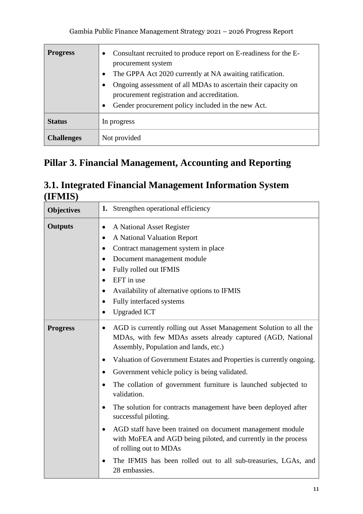| <b>Progress</b>   | Consultant recruited to produce report on E-readiness for the E-<br>$\bullet$<br>procurement system<br>The GPPA Act 2020 currently at NA awaiting ratification.<br>$\bullet$<br>Ongoing assessment of all MDAs to ascertain their capacity on<br>procurement registration and accreditation.<br>Gender procurement policy included in the new Act.<br>$\bullet$ |
|-------------------|-----------------------------------------------------------------------------------------------------------------------------------------------------------------------------------------------------------------------------------------------------------------------------------------------------------------------------------------------------------------|
| <b>Status</b>     | In progress                                                                                                                                                                                                                                                                                                                                                     |
| <b>Challenges</b> | Not provided                                                                                                                                                                                                                                                                                                                                                    |

## <span id="page-15-0"></span>**Pillar 3. Financial Management, Accounting and Reporting**

#### <span id="page-15-1"></span>**3.1. Integrated Financial Management Information System (IFMIS)**

| <b>Objectives</b> | 1. Strengthen operational efficiency                                                                                                                                                                                                                                                                                                                                                                                                                                                                                                                                                                                                                                                                                                                                                                   |
|-------------------|--------------------------------------------------------------------------------------------------------------------------------------------------------------------------------------------------------------------------------------------------------------------------------------------------------------------------------------------------------------------------------------------------------------------------------------------------------------------------------------------------------------------------------------------------------------------------------------------------------------------------------------------------------------------------------------------------------------------------------------------------------------------------------------------------------|
| <b>Outputs</b>    | A National Asset Register<br>$\bullet$<br>A National Valuation Report<br>$\bullet$<br>Contract management system in place<br>$\bullet$<br>Document management module<br>$\bullet$<br>Fully rolled out IFMIS<br>$\bullet$<br>EFT in use<br>$\bullet$<br>Availability of alternative options to IFMIS<br>$\bullet$<br>Fully interfaced systems<br>$\bullet$<br><b>Upgraded ICT</b><br>$\bullet$                                                                                                                                                                                                                                                                                                                                                                                                          |
| <b>Progress</b>   | AGD is currently rolling out Asset Management Solution to all the<br>$\bullet$<br>MDAs, with few MDAs assets already captured (AGD, National<br>Assembly, Population and lands, etc.)<br>Valuation of Government Estates and Properties is currently ongoing.<br>$\bullet$<br>Government vehicle policy is being validated.<br>$\bullet$<br>The collation of government furniture is launched subjected to<br>$\bullet$<br>validation.<br>The solution for contracts management have been deployed after<br>$\bullet$<br>successful piloting.<br>AGD staff have been trained on document management module<br>$\bullet$<br>with MoFEA and AGD being piloted, and currently in the process<br>of rolling out to MDAs<br>The IFMIS has been rolled out to all sub-treasuries, LGAs, and<br>28 embassies. |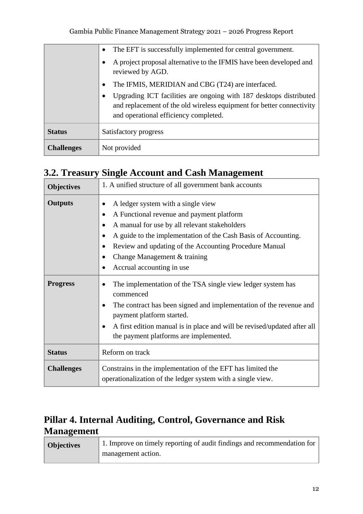|                   | The EFT is successfully implemented for central government.                                                                                                                                       |
|-------------------|---------------------------------------------------------------------------------------------------------------------------------------------------------------------------------------------------|
|                   | A project proposal alternative to the IFMIS have been developed and<br>reviewed by AGD.                                                                                                           |
|                   | The IFMIS, MERIDIAN and CBG (T24) are interfaced.<br>$\bullet$                                                                                                                                    |
|                   | Upgrading ICT facilities are ongoing with 187 desktops distributed<br>$\bullet$<br>and replacement of the old wireless equipment for better connectivity<br>and operational efficiency completed. |
| <b>Status</b>     | Satisfactory progress                                                                                                                                                                             |
| <b>Challenges</b> | Not provided                                                                                                                                                                                      |

#### <span id="page-16-0"></span>**3.2. Treasury Single Account and Cash Management**

| <b>Objectives</b> | 1. A unified structure of all government bank accounts                                                                                                                                                                                                                                                                                                                                                  |
|-------------------|---------------------------------------------------------------------------------------------------------------------------------------------------------------------------------------------------------------------------------------------------------------------------------------------------------------------------------------------------------------------------------------------------------|
| <b>Outputs</b>    | A ledger system with a single view<br>A Functional revenue and payment platform<br>$\bullet$<br>A manual for use by all relevant stakeholders<br>$\bullet$<br>A guide to the implementation of the Cash Basis of Accounting.<br>$\bullet$<br>Review and updating of the Accounting Procedure Manual<br>$\bullet$<br>Change Management & training<br>$\bullet$<br>Accrual accounting in use<br>$\bullet$ |
| <b>Progress</b>   | The implementation of the TSA single view ledger system has<br>٠<br>commenced<br>The contract has been signed and implementation of the revenue and<br>$\bullet$<br>payment platform started.<br>A first edition manual is in place and will be revised/updated after all<br>$\bullet$<br>the payment platforms are implemented.                                                                        |
| <b>Status</b>     | Reform on track                                                                                                                                                                                                                                                                                                                                                                                         |
| <b>Challenges</b> | Constrains in the implementation of the EFT has limited the<br>operationalization of the ledger system with a single view.                                                                                                                                                                                                                                                                              |

## <span id="page-16-1"></span>**Pillar 4. Internal Auditing, Control, Governance and Risk Management**

| <b>Objectives</b> | 1. Improve on timely reporting of audit findings and recommendation for |
|-------------------|-------------------------------------------------------------------------|
|                   | management action.                                                      |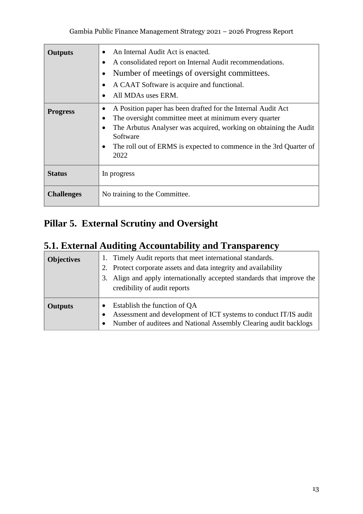| <b>Outputs</b>    | An Internal Audit Act is enacted.<br>A consolidated report on Internal Audit recommendations.<br>Number of meetings of oversight committees.<br>A CAAT Software is acquire and functional.<br>All MDAs uses ERM.                                                                                               |
|-------------------|----------------------------------------------------------------------------------------------------------------------------------------------------------------------------------------------------------------------------------------------------------------------------------------------------------------|
| <b>Progress</b>   | A Position paper has been drafted for the Internal Audit Act<br>$\bullet$<br>The oversight committee meet at minimum every quarter<br>$\bullet$<br>The Arbutus Analyser was acquired, working on obtaining the Audit<br>Software<br>The roll out of ERMS is expected to commence in the 3rd Quarter of<br>2022 |
| <b>Status</b>     | In progress                                                                                                                                                                                                                                                                                                    |
| <b>Challenges</b> | No training to the Committee.                                                                                                                                                                                                                                                                                  |

## <span id="page-17-0"></span>**Pillar 5. External Scrutiny and Oversight**

#### <span id="page-17-1"></span>**5.1. External Auditing Accountability and Transparency**

| <b>Objectives</b> | 1. Timely Audit reports that meet international standards.<br>Protect corporate assets and data integrity and availability<br>2.<br>Align and apply internationally accepted standards that improve the<br>3.<br>credibility of audit reports |
|-------------------|-----------------------------------------------------------------------------------------------------------------------------------------------------------------------------------------------------------------------------------------------|
| <b>Outputs</b>    | Establish the function of QA<br>Assessment and development of ICT systems to conduct IT/IS audit<br>Number of auditees and National Assembly Clearing audit backlogs<br>$\bullet$                                                             |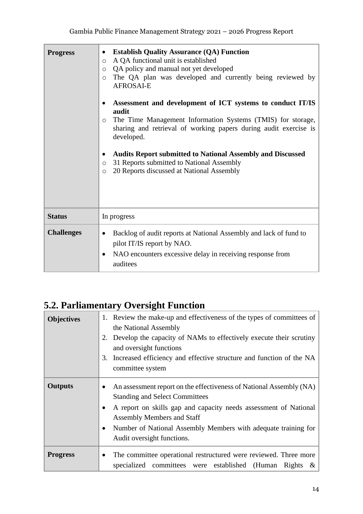| <b>Progress</b>   | <b>Establish Quality Assurance (QA) Function</b><br>$\bullet$<br>A QA functional unit is established<br>$\circ$<br>QA policy and manual not yet developed<br>$\circ$<br>The QA plan was developed and currently being reviewed by<br>$\circ$<br><b>AFROSAI-E</b><br>Assessment and development of ICT systems to conduct IT/IS<br>audit<br>The Time Management Information Systems (TMIS) for storage,<br>O<br>sharing and retrieval of working papers during audit exercise is<br>developed.<br><b>Audits Report submitted to National Assembly and Discussed</b><br>31 Reports submitted to National Assembly<br>$\circ$<br>20 Reports discussed at National Assembly<br>$\circ$ |
|-------------------|------------------------------------------------------------------------------------------------------------------------------------------------------------------------------------------------------------------------------------------------------------------------------------------------------------------------------------------------------------------------------------------------------------------------------------------------------------------------------------------------------------------------------------------------------------------------------------------------------------------------------------------------------------------------------------|
| <b>Status</b>     | In progress                                                                                                                                                                                                                                                                                                                                                                                                                                                                                                                                                                                                                                                                        |
| <b>Challenges</b> | Backlog of audit reports at National Assembly and lack of fund to<br>pilot IT/IS report by NAO.<br>NAO encounters excessive delay in receiving response from<br>auditees                                                                                                                                                                                                                                                                                                                                                                                                                                                                                                           |

## <span id="page-18-0"></span>**5.2. Parliamentary Oversight Function**

| <b>Objectives</b> | 1. Review the make-up and effectiveness of the types of committees of<br>the National Assembly<br>Develop the capacity of NAMs to effectively execute their scrutiny<br>2.<br>and oversight functions<br>Increased efficiency and effective structure and function of the NA<br>3.<br>committee system                                          |
|-------------------|-------------------------------------------------------------------------------------------------------------------------------------------------------------------------------------------------------------------------------------------------------------------------------------------------------------------------------------------------|
| <b>Outputs</b>    | An assessment report on the effectiveness of National Assembly (NA)<br><b>Standing and Select Committees</b><br>A report on skills gap and capacity needs assessment of National<br>$\bullet$<br><b>Assembly Members and Staff</b><br>Number of National Assembly Members with adequate training for<br>$\bullet$<br>Audit oversight functions. |
| <b>Progress</b>   | The committee operational restructured were reviewed. Three more<br>$\bullet$<br>specialized committees were established (Human<br>Rights<br>$\propto$                                                                                                                                                                                          |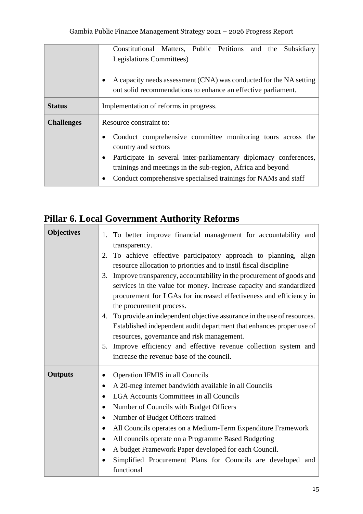|                   | Constitutional Matters, Public Petitions and the Subsidiary                                                                                      |
|-------------------|--------------------------------------------------------------------------------------------------------------------------------------------------|
|                   | Legislations Committees)                                                                                                                         |
|                   | A capacity needs assessment (CNA) was conducted for the NA setting<br>$\bullet$<br>out solid recommendations to enhance an effective parliament. |
| <b>Status</b>     | Implementation of reforms in progress.                                                                                                           |
| <b>Challenges</b> | Resource constraint to:                                                                                                                          |
|                   | Conduct comprehensive committee monitoring tours across the<br>country and sectors                                                               |
|                   | Participate in several inter-parliamentary diplomacy conferences,<br>$\bullet$                                                                   |
|                   | trainings and meetings in the sub-region, Africa and beyond                                                                                      |
|                   | Conduct comprehensive specialised trainings for NAMs and staff                                                                                   |

# <span id="page-19-0"></span>**Pillar 6. Local Government Authority Reforms**

| <b>Objectives</b> | 1. To better improve financial management for accountability and<br>transparency. |
|-------------------|-----------------------------------------------------------------------------------|
|                   | To achieve effective participatory approach to planning, align<br>2.              |
|                   | resource allocation to priorities and to instil fiscal discipline                 |
|                   | Improve transparency, accountability in the procurement of goods and<br>3.        |
|                   | services in the value for money. Increase capacity and standardized               |
|                   | procurement for LGAs for increased effectiveness and efficiency in                |
|                   | the procurement process.                                                          |
|                   | To provide an independent objective assurance in the use of resources.<br>4.      |
|                   | Established independent audit department that enhances proper use of              |
|                   | resources, governance and risk management.                                        |
|                   | Improve efficiency and effective revenue collection system and<br>5.              |
|                   | increase the revenue base of the council.                                         |
| <b>Outputs</b>    | Operation IFMIS in all Councils<br>$\bullet$                                      |
|                   | A 20-meg internet bandwidth available in all Councils<br>$\bullet$                |
|                   | <b>LGA Accounts Committees in all Councils</b><br>$\bullet$                       |
|                   | Number of Councils with Budget Officers<br>٠                                      |
|                   | Number of Budget Officers trained<br>$\bullet$                                    |
|                   | All Councils operates on a Medium-Term Expenditure Framework<br>$\bullet$         |
|                   | All councils operate on a Programme Based Budgeting<br>٠                          |
|                   | A budget Framework Paper developed for each Council.<br>$\bullet$                 |
|                   |                                                                                   |
|                   | Simplified Procurement Plans for Councils are developed and                       |

 $\overline{\phantom{0}}$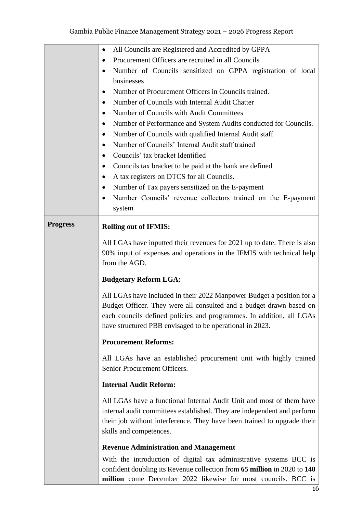|                 | All Councils are Registered and Accredited by GPPA<br>$\bullet$           |
|-----------------|---------------------------------------------------------------------------|
|                 | Procurement Officers are recruited in all Councils<br>٠                   |
|                 | Number of Councils sensitized on GPPA registration of local<br>$\bullet$  |
|                 | businesses                                                                |
|                 | Number of Procurement Officers in Councils trained.<br>٠                  |
|                 | Number of Councils with Internal Audit Chatter<br>٠                       |
|                 | Number of Councils with Audit Committees<br>$\bullet$                     |
|                 | Number of Performance and System Audits conducted for Councils.<br>٠      |
|                 | Number of Councils with qualified Internal Audit staff<br>$\bullet$       |
|                 | Number of Councils' Internal Audit staff trained<br>$\bullet$             |
|                 | Councils' tax bracket Identified<br>$\bullet$                             |
|                 | Councils tax bracket to be paid at the bank are defined<br>$\bullet$      |
|                 | A tax registers on DTCS for all Councils.<br>$\bullet$                    |
|                 | Number of Tax payers sensitized on the E-payment<br>$\bullet$             |
|                 | Number Councils' revenue collectors trained on the E-payment<br>$\bullet$ |
|                 | system                                                                    |
| <b>Progress</b> | <b>Rolling out of IFMIS:</b>                                              |
|                 | All LGAs have inputted their revenues for 2021 up to date. There is also  |
|                 | 90% input of expenses and operations in the IFMIS with technical help     |
|                 | from the AGD.                                                             |
|                 |                                                                           |
|                 | <b>Budgetary Reform LGA:</b>                                              |
|                 | All LGAs have included in their 2022 Manpower Budget a position for a     |
|                 | Budget Officer. They were all consulted and a budget drawn based on       |
|                 | each councils defined policies and programmes. In addition, all LGAs      |
|                 | have structured PBB envisaged to be operational in 2023.                  |
|                 | <b>Procurement Reforms:</b>                                               |
|                 | All LGAs have an established procurement unit with highly trained         |
|                 | Senior Procurement Officers.                                              |
|                 | <b>Internal Audit Reform:</b>                                             |
|                 | All LGAs have a functional Internal Audit Unit and most of them have      |
|                 | internal audit committees established. They are independent and perform   |
|                 | their job without interference. They have been trained to upgrade their   |
|                 | skills and competences.                                                   |
|                 | <b>Revenue Administration and Management</b>                              |
|                 | With the introduction of digital tax administrative systems BCC is        |
|                 | confident doubling its Revenue collection from 65 million in 2020 to 140  |
|                 | million come December 2022 likewise for most councils. BCC is             |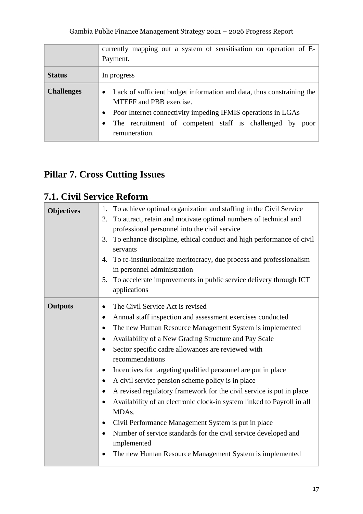|                   | currently mapping out a system of sensitisation on operation of E-<br>Payment.                                                                                                                                                                                                              |
|-------------------|---------------------------------------------------------------------------------------------------------------------------------------------------------------------------------------------------------------------------------------------------------------------------------------------|
| <b>Status</b>     | In progress                                                                                                                                                                                                                                                                                 |
| <b>Challenges</b> | Lack of sufficient budget information and data, thus constraining the<br>$\bullet$<br><b>MTEFF</b> and PBB exercise.<br>Poor Internet connectivity impeding IFMIS operations in LGAs<br>$\bullet$<br>The recruitment of competent staff is challenged by poor<br>$\bullet$<br>remuneration. |

## <span id="page-21-0"></span>**Pillar 7. Cross Cutting Issues**

## <span id="page-21-1"></span>**7.1. Civil Service Reform**

| <b>Objectives</b> | To achieve optimal organization and staffing in the Civil Service<br>1.<br>To attract, retain and motivate optimal numbers of technical and<br>2.<br>professional personnel into the civil service<br>To enhance discipline, ethical conduct and high performance of civil<br>3.<br>servants<br>4. To re-institutionalize meritocracy, due process and professionalism<br>in personnel administration<br>To accelerate improvements in public service delivery through ICT<br>5.<br>applications                                                                                                                                                                                                                                                                                                                                                                                                                                |
|-------------------|---------------------------------------------------------------------------------------------------------------------------------------------------------------------------------------------------------------------------------------------------------------------------------------------------------------------------------------------------------------------------------------------------------------------------------------------------------------------------------------------------------------------------------------------------------------------------------------------------------------------------------------------------------------------------------------------------------------------------------------------------------------------------------------------------------------------------------------------------------------------------------------------------------------------------------|
| <b>Outputs</b>    | The Civil Service Act is revised<br>$\bullet$<br>Annual staff inspection and assessment exercises conducted<br>$\bullet$<br>The new Human Resource Management System is implemented<br>$\bullet$<br>Availability of a New Grading Structure and Pay Scale<br>$\bullet$<br>Sector specific cadre allowances are reviewed with<br>$\bullet$<br>recommendations<br>Incentives for targeting qualified personnel are put in place<br>$\bullet$<br>A civil service pension scheme policy is in place<br>$\bullet$<br>A revised regulatory framework for the civil service is put in place<br>$\bullet$<br>Availability of an electronic clock-in system linked to Payroll in all<br>$\bullet$<br>MDA <sub>s</sub> .<br>Civil Performance Management System is put in place<br>$\bullet$<br>Number of service standards for the civil service developed and<br>implemented<br>The new Human Resource Management System is implemented |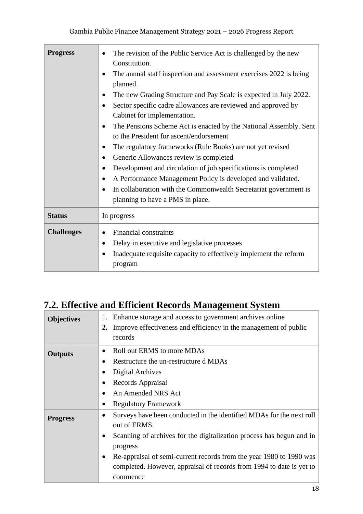| <b>Progress</b>   | The revision of the Public Service Act is challenged by the new<br>Constitution.<br>The annual staff inspection and assessment exercises 2022 is being<br>planned.<br>The new Grading Structure and Pay Scale is expected in July 2022.<br>Sector specific cadre allowances are reviewed and approved by<br>Cabinet for implementation.<br>The Pensions Scheme Act is enacted by the National Assembly. Sent<br>to the President for ascent/endorsement<br>The regulatory frameworks (Rule Books) are not yet revised<br>Generic Allowances review is completed<br>$\bullet$<br>Development and circulation of job specifications is completed<br>$\bullet$<br>A Performance Management Policy is developed and validated.<br>$\bullet$<br>In collaboration with the Commonwealth Secretariat government is<br>$\bullet$<br>planning to have a PMS in place. |
|-------------------|--------------------------------------------------------------------------------------------------------------------------------------------------------------------------------------------------------------------------------------------------------------------------------------------------------------------------------------------------------------------------------------------------------------------------------------------------------------------------------------------------------------------------------------------------------------------------------------------------------------------------------------------------------------------------------------------------------------------------------------------------------------------------------------------------------------------------------------------------------------|
| <b>Status</b>     | In progress                                                                                                                                                                                                                                                                                                                                                                                                                                                                                                                                                                                                                                                                                                                                                                                                                                                  |
| <b>Challenges</b> | <b>Financial constraints</b><br>Delay in executive and legislative processes<br>Inadequate requisite capacity to effectively implement the reform<br>program                                                                                                                                                                                                                                                                                                                                                                                                                                                                                                                                                                                                                                                                                                 |

## <span id="page-22-0"></span>**7.2. Effective and Efficient Records Management System**

| <b>Objectives</b> | Enhance storage and access to government archives online<br>1.<br>Improve effectiveness and efficiency in the management of public<br>2.<br>records |
|-------------------|-----------------------------------------------------------------------------------------------------------------------------------------------------|
| <b>Outputs</b>    | Roll out ERMS to more MDAs<br>$\bullet$                                                                                                             |
|                   | Restructure the un-restructure d MDAs<br>٠                                                                                                          |
|                   | <b>Digital Archives</b>                                                                                                                             |
|                   | Records Appraisal<br>$\bullet$                                                                                                                      |
|                   | An Amended NRS Act<br>$\bullet$                                                                                                                     |
|                   | <b>Regulatory Framework</b>                                                                                                                         |
| <b>Progress</b>   | Surveys have been conducted in the identified MDAs for the next roll<br>$\bullet$                                                                   |
|                   | out of ERMS.                                                                                                                                        |
|                   | Scanning of archives for the digitalization process has begun and in<br>$\bullet$                                                                   |
|                   | progress                                                                                                                                            |
|                   | Re-appraisal of semi-current records from the year 1980 to 1990 was<br>$\bullet$                                                                    |
|                   | completed. However, appraisal of records from 1994 to date is yet to                                                                                |
|                   | commence                                                                                                                                            |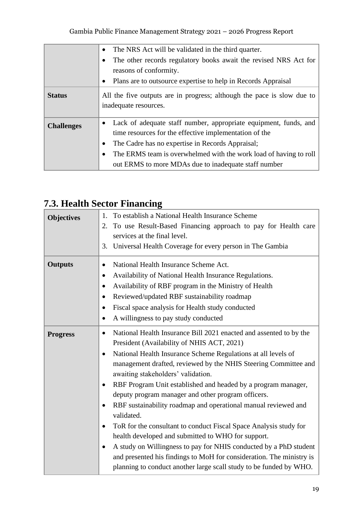Gambia Public Finance Management Strategy 2021 – 2026 Progress Report

|                   | The NRS Act will be validated in the third quarter.                                                                                                                                         |
|-------------------|---------------------------------------------------------------------------------------------------------------------------------------------------------------------------------------------|
|                   | The other records regulatory books await the revised NRS Act for                                                                                                                            |
|                   | reasons of conformity.                                                                                                                                                                      |
|                   | Plans are to outsource expertise to help in Records Appraisal<br>$\bullet$                                                                                                                  |
| <b>Status</b>     | All the five outputs are in progress; although the pace is slow due to<br>inadequate resources.                                                                                             |
| <b>Challenges</b> | Lack of adequate staff number, appropriate equipment, funds, and<br>time resources for the effective implementation of the<br>The Cadre has no expertise in Records Appraisal;<br>$\bullet$ |
|                   | The ERMS team is overwhelmed with the work load of having to roll<br>٠<br>out ERMS to more MDAs due to inadequate staff number                                                              |

## <span id="page-23-0"></span>**7.3. Health Sector Financing**

| <b>Objectives</b> | 1.<br>To establish a National Health Insurance Scheme<br>To use Result-Based Financing approach to pay for Health care<br>2.<br>services at the final level.<br>Universal Health Coverage for every person in The Gambia<br>3.                                                                                                                                                                                                                                                                                                                                                                                                                                                                                                                                                                                                                                                                                                |
|-------------------|-------------------------------------------------------------------------------------------------------------------------------------------------------------------------------------------------------------------------------------------------------------------------------------------------------------------------------------------------------------------------------------------------------------------------------------------------------------------------------------------------------------------------------------------------------------------------------------------------------------------------------------------------------------------------------------------------------------------------------------------------------------------------------------------------------------------------------------------------------------------------------------------------------------------------------|
| <b>Outputs</b>    | National Health Insurance Scheme Act.<br>$\bullet$<br>Availability of National Health Insurance Regulations.<br>$\bullet$<br>Availability of RBF program in the Ministry of Health<br>$\bullet$<br>Reviewed/updated RBF sustainability roadmap<br>$\bullet$<br>Fiscal space analysis for Health study conducted<br>$\bullet$<br>A willingness to pay study conducted<br>$\bullet$                                                                                                                                                                                                                                                                                                                                                                                                                                                                                                                                             |
| <b>Progress</b>   | National Health Insurance Bill 2021 enacted and assented to by the<br>$\bullet$<br>President (Availability of NHIS ACT, 2021)<br>National Health Insurance Scheme Regulations at all levels of<br>$\bullet$<br>management drafted, reviewed by the NHIS Steering Committee and<br>awaiting stakeholders' validation.<br>RBF Program Unit established and headed by a program manager,<br>$\bullet$<br>deputy program manager and other program officers.<br>RBF sustainability roadmap and operational manual reviewed and<br>$\bullet$<br>validated.<br>ToR for the consultant to conduct Fiscal Space Analysis study for<br>$\bullet$<br>health developed and submitted to WHO for support.<br>A study on Willingness to pay for NHIS conducted by a PhD student<br>$\bullet$<br>and presented his findings to MoH for consideration. The ministry is<br>planning to conduct another large scall study to be funded by WHO. |